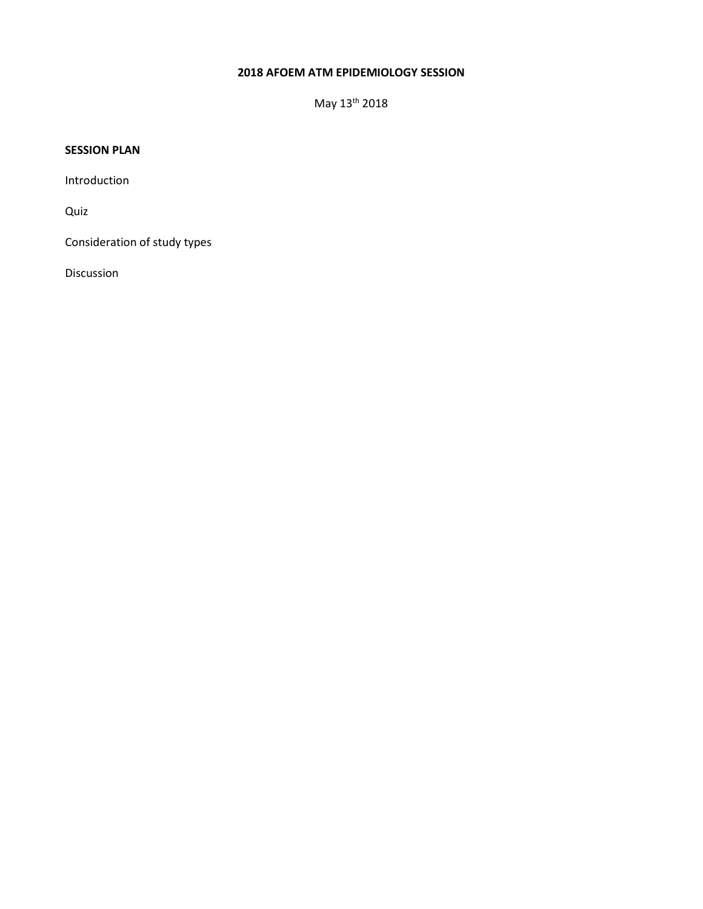## **2018 AFOEM ATM EPIDEMIOLOGY SESSION**

May 13th 2018

## **SESSION PLAN**

Introduction

Quiz

Consideration of study types

Discussion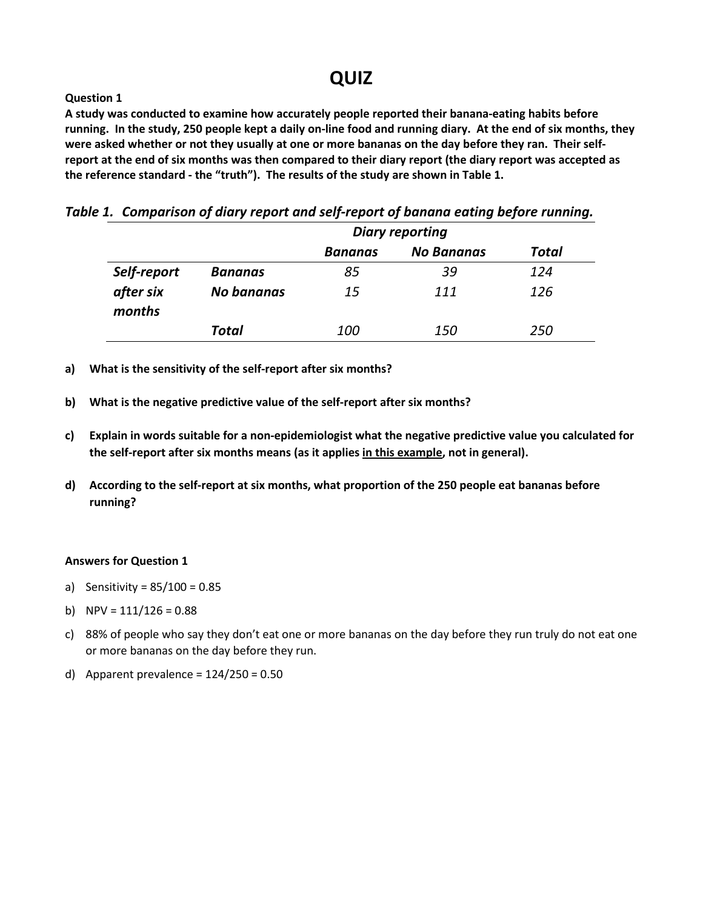# **QUIZ**

## **Question 1**

**A study was conducted to examine how accurately people reported their banana-eating habits before running. In the study, 250 people kept a daily on-line food and running diary. At the end of six months, they were asked whether or not they usually at one or more bananas on the day before they ran. Their selfreport at the end of six months was then compared to their diary report (the diary report was accepted as the reference standard - the "truth"). The results of the study are shown in Table 1.**

|  |  |  |  |  |  | Table 1. Comparison of diary report and self-report of banana eating before running. |  |
|--|--|--|--|--|--|--------------------------------------------------------------------------------------|--|
|--|--|--|--|--|--|--------------------------------------------------------------------------------------|--|

|                     |            | <b>Diary reporting</b> |                   |              |  |
|---------------------|------------|------------------------|-------------------|--------------|--|
|                     |            | <b>Bananas</b>         | <b>No Bananas</b> | <b>Total</b> |  |
| Self-report         | Bananas    | 85                     | 39                | 124          |  |
| after six<br>months | No bananas | 15                     | 111               | 126          |  |
|                     | Total      | <i>100</i>             | <i>150</i>        | 250          |  |

- **a) What is the sensitivity of the self-report after six months?**
- **b) What is the negative predictive value of the self-report after six months?**
- **c) Explain in words suitable for a non-epidemiologist what the negative predictive value you calculated for the self-report after six months means (as it applies in this example, not in general).**
- **d) According to the self-report at six months, what proportion of the 250 people eat bananas before running?**

#### **Answers for Question 1**

- a) Sensitivity = 85/100 = 0.85
- b) NPV =  $111/126 = 0.88$
- c) 88% of people who say they don't eat one or more bananas on the day before they run truly do not eat one or more bananas on the day before they run.
- d) Apparent prevalence =  $124/250 = 0.50$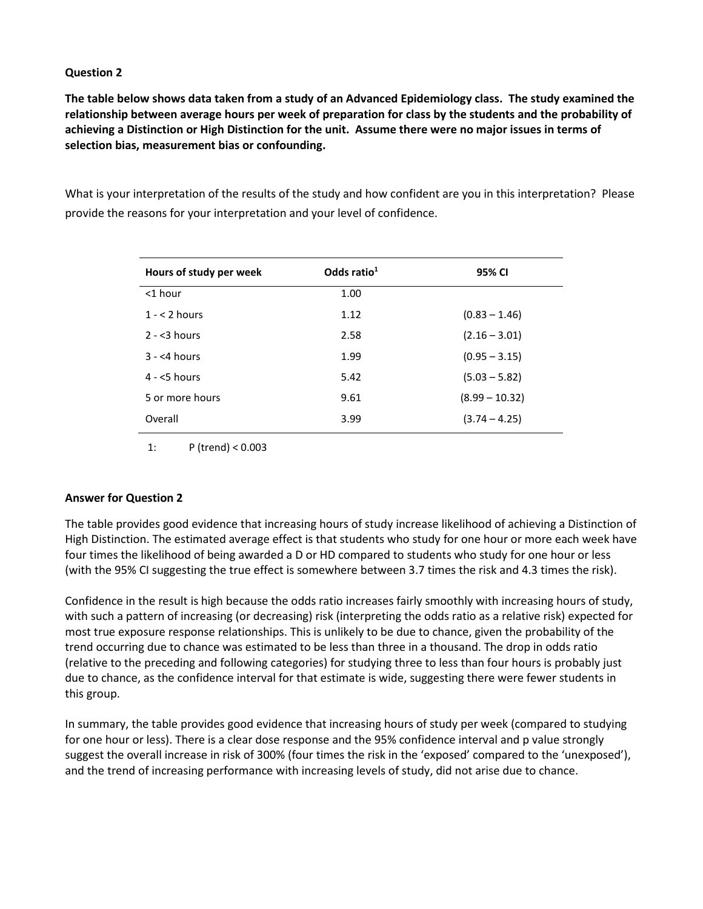**The table below shows data taken from a study of an Advanced Epidemiology class. The study examined the relationship between average hours per week of preparation for class by the students and the probability of achieving a Distinction or High Distinction for the unit. Assume there were no major issues in terms of selection bias, measurement bias or confounding.**

What is your interpretation of the results of the study and how confident are you in this interpretation? Please provide the reasons for your interpretation and your level of confidence.

| Hours of study per week | Odds ratio $1$ | 95% CI           |
|-------------------------|----------------|------------------|
| $<$ 1 hour              | 1.00           |                  |
| $1 - 52$ hours          | 1.12           | $(0.83 - 1.46)$  |
| $2 - 3$ hours           | 2.58           | $(2.16 - 3.01)$  |
| $3 - 54$ hours          | 1.99           | $(0.95 - 3.15)$  |
| $4 - 5$ hours           | 5.42           | $(5.03 - 5.82)$  |
| 5 or more hours         | 9.61           | $(8.99 - 10.32)$ |
| Overall                 | 3.99           | $(3.74 - 4.25)$  |

1: P (trend) < 0.003

#### **Answer for Question 2**

The table provides good evidence that increasing hours of study increase likelihood of achieving a Distinction of High Distinction. The estimated average effect is that students who study for one hour or more each week have four times the likelihood of being awarded a D or HD compared to students who study for one hour or less (with the 95% CI suggesting the true effect is somewhere between 3.7 times the risk and 4.3 times the risk).

Confidence in the result is high because the odds ratio increases fairly smoothly with increasing hours of study, with such a pattern of increasing (or decreasing) risk (interpreting the odds ratio as a relative risk) expected for most true exposure response relationships. This is unlikely to be due to chance, given the probability of the trend occurring due to chance was estimated to be less than three in a thousand. The drop in odds ratio (relative to the preceding and following categories) for studying three to less than four hours is probably just due to chance, as the confidence interval for that estimate is wide, suggesting there were fewer students in this group.

In summary, the table provides good evidence that increasing hours of study per week (compared to studying for one hour or less). There is a clear dose response and the 95% confidence interval and p value strongly suggest the overall increase in risk of 300% (four times the risk in the 'exposed' compared to the 'unexposed'), and the trend of increasing performance with increasing levels of study, did not arise due to chance.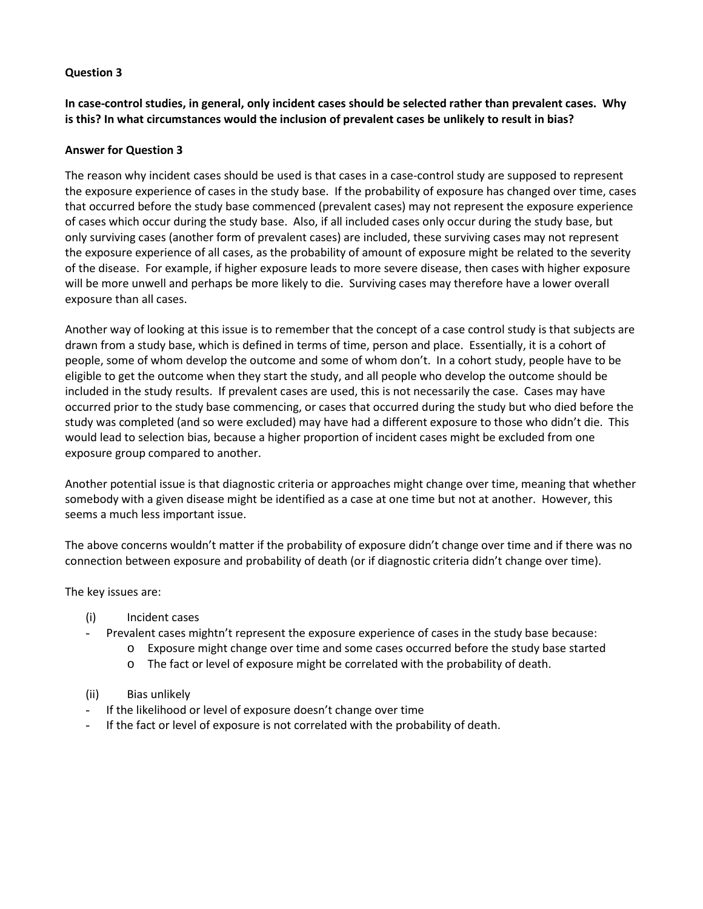**In case-control studies, in general, only incident cases should be selected rather than prevalent cases. Why is this? In what circumstances would the inclusion of prevalent cases be unlikely to result in bias?**

#### **Answer for Question 3**

The reason why incident cases should be used is that cases in a case-control study are supposed to represent the exposure experience of cases in the study base. If the probability of exposure has changed over time, cases that occurred before the study base commenced (prevalent cases) may not represent the exposure experience of cases which occur during the study base. Also, if all included cases only occur during the study base, but only surviving cases (another form of prevalent cases) are included, these surviving cases may not represent the exposure experience of all cases, as the probability of amount of exposure might be related to the severity of the disease. For example, if higher exposure leads to more severe disease, then cases with higher exposure will be more unwell and perhaps be more likely to die. Surviving cases may therefore have a lower overall exposure than all cases.

Another way of looking at this issue is to remember that the concept of a case control study is that subjects are drawn from a study base, which is defined in terms of time, person and place. Essentially, it is a cohort of people, some of whom develop the outcome and some of whom don't. In a cohort study, people have to be eligible to get the outcome when they start the study, and all people who develop the outcome should be included in the study results. If prevalent cases are used, this is not necessarily the case. Cases may have occurred prior to the study base commencing, or cases that occurred during the study but who died before the study was completed (and so were excluded) may have had a different exposure to those who didn't die. This would lead to selection bias, because a higher proportion of incident cases might be excluded from one exposure group compared to another.

Another potential issue is that diagnostic criteria or approaches might change over time, meaning that whether somebody with a given disease might be identified as a case at one time but not at another. However, this seems a much less important issue.

The above concerns wouldn't matter if the probability of exposure didn't change over time and if there was no connection between exposure and probability of death (or if diagnostic criteria didn't change over time).

The key issues are:

- (i) Incident cases
- Prevalent cases mightn't represent the exposure experience of cases in the study base because:
	- o Exposure might change over time and some cases occurred before the study base started
	- o The fact or level of exposure might be correlated with the probability of death.
- (ii) Bias unlikely
- If the likelihood or level of exposure doesn't change over time
- If the fact or level of exposure is not correlated with the probability of death.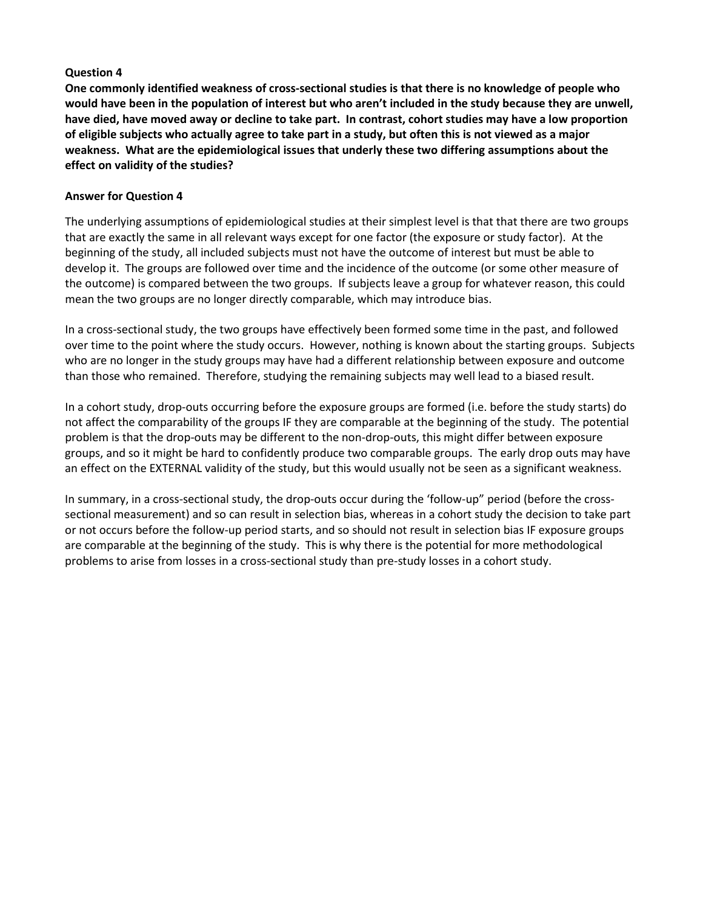**One commonly identified weakness of cross-sectional studies is that there is no knowledge of people who would have been in the population of interest but who aren't included in the study because they are unwell, have died, have moved away or decline to take part. In contrast, cohort studies may have a low proportion of eligible subjects who actually agree to take part in a study, but often this is not viewed as a major weakness. What are the epidemiological issues that underly these two differing assumptions about the effect on validity of the studies?**

#### **Answer for Question 4**

The underlying assumptions of epidemiological studies at their simplest level is that that there are two groups that are exactly the same in all relevant ways except for one factor (the exposure or study factor). At the beginning of the study, all included subjects must not have the outcome of interest but must be able to develop it. The groups are followed over time and the incidence of the outcome (or some other measure of the outcome) is compared between the two groups. If subjects leave a group for whatever reason, this could mean the two groups are no longer directly comparable, which may introduce bias.

In a cross-sectional study, the two groups have effectively been formed some time in the past, and followed over time to the point where the study occurs. However, nothing is known about the starting groups. Subjects who are no longer in the study groups may have had a different relationship between exposure and outcome than those who remained. Therefore, studying the remaining subjects may well lead to a biased result.

In a cohort study, drop-outs occurring before the exposure groups are formed (i.e. before the study starts) do not affect the comparability of the groups IF they are comparable at the beginning of the study. The potential problem is that the drop-outs may be different to the non-drop-outs, this might differ between exposure groups, and so it might be hard to confidently produce two comparable groups. The early drop outs may have an effect on the EXTERNAL validity of the study, but this would usually not be seen as a significant weakness.

In summary, in a cross-sectional study, the drop-outs occur during the 'follow-up" period (before the crosssectional measurement) and so can result in selection bias, whereas in a cohort study the decision to take part or not occurs before the follow-up period starts, and so should not result in selection bias IF exposure groups are comparable at the beginning of the study. This is why there is the potential for more methodological problems to arise from losses in a cross-sectional study than pre-study losses in a cohort study.